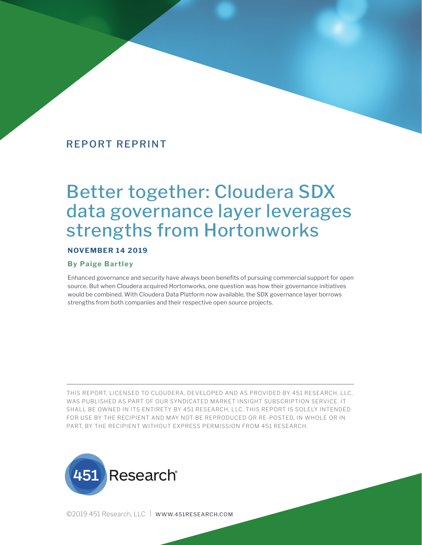# Better together: Cloudera SDX data governance layer leverages strengths from Hortonworks

#### **NOVEMBER 14 2019**

#### **By Paige Bartley**

Enhanced governance and security have always been benefits of pursuing commercial support for open source. But when Cloudera acquired Hortonworks, one question was how their governance initiatives would be combined. With Cloudera Data Platform now available, the SDX governance layer borrows strengths from both companies and their respective open source projects.

THIS REPORT, LICENSED TO CLOUDERA, DEVELOPED AND AS PROVIDED BY 451 RESEARCH, LLC, WAS PUBLISHED AS PART OF OUR SYNDICATED MARKET INSIGHT SUBSCRIPTION SERVICE. IT SHALL BE OWNED IN ITS ENTIRETY BY 451 RESEARCH, LLC. THIS REPORT IS SOLELY INTENDED FOR USE BY THE RECIPIENT AND MAY NOT BE REPRODUCED OR RE-POSTED, IN WHOLE OR IN PART, BY THE RECIPIENT WITHOUT EXPRESS PERMISSION FROM 451 RESEARCH.



©2019 451 Research, LLC | WWW.451RESEARCH.COM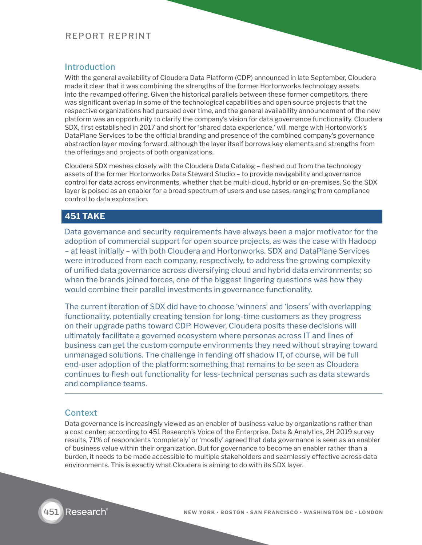## **Introduction**

With the general availability of Cloudera Data Platform (CDP) announced in late September, Cloudera made it clear that it was combining the strengths of the former Hortonworks technology assets into the revamped offering. Given the historical parallels between these former competitors, there was significant overlap in some of the technological capabilities and open source projects that the respective organizations had pursued over time, and the general availability announcement of the new platform was an opportunity to clarify the company's vision for data governance functionality. Cloudera SDX, first established in 2017 and short for 'shared data experience,' will merge with Hortonwork's DataPlane Services to be the official branding and presence of the combined company's governance abstraction layer moving forward, although the layer itself borrows key elements and strengths from the offerings and projects of both organizations.

Cloudera SDX meshes closely with the Cloudera Data Catalog – fleshed out from the technology assets of the former Hortonworks Data Steward Studio – to provide navigability and governance control for data across environments, whether that be multi-cloud, hybrid or on-premises. So the SDX layer is poised as an enabler for a broad spectrum of users and use cases, ranging from compliance control to data exploration.

## **451 TAKE**

Data governance and security requirements have always been a major motivator for the adoption of commercial support for open source projects, as was the case with Hadoop – at least initially – with both Cloudera and Hortonworks. SDX and DataPlane Services were introduced from each company, respectively, to address the growing complexity of unified data governance across diversifying cloud and hybrid data environments; so when the brands joined forces, one of the biggest lingering questions was how they would combine their parallel investments in governance functionality.

The current iteration of SDX did have to choose 'winners' and 'losers' with overlapping functionality, potentially creating tension for long-time customers as they progress on their upgrade paths toward CDP. However, Cloudera posits these decisions will ultimately facilitate a governed ecosystem where personas across IT and lines of business can get the custom compute environments they need without straying toward unmanaged solutions. The challenge in fending off shadow IT, of course, will be full end-user adoption of the platform: something that remains to be seen as Cloudera continues to flesh out functionality for less-technical personas such as data stewards and compliance teams.

### **Context**

Data governance is increasingly viewed as an enabler of business value by organizations rather than a cost center; according to 451 Research's Voice of the Enterprise, Data & Analytics, 2H 2019 survey results, 71% of respondents 'completely' or 'mostly' agreed that data governance is seen as an enabler of business value within their organization. But for governance to become an enabler rather than a burden, it needs to be made accessible to multiple stakeholders and seamlessly effective across data environments. This is exactly what Cloudera is aiming to do with its SDX layer.

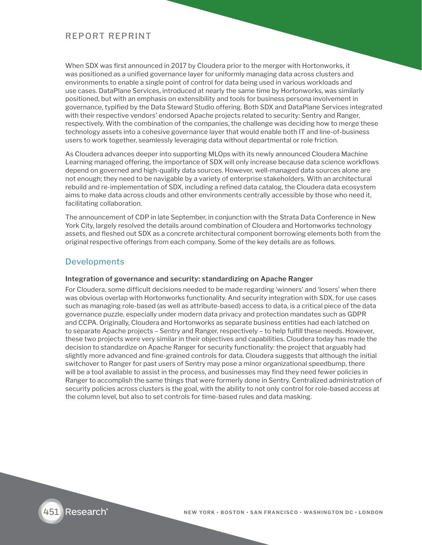When SDX was first announced in 2017 by Cloudera prior to the merger with Hortonworks, it was positioned as a unified governance layer for uniformly managing data across clusters and environments to enable a single point of control for data being used in various workloads and use cases. DataPlane Services, introduced at nearly the same time by Hortonworks, was similarly positioned, but with an emphasis on extensibility and tools for business persona involvement in governance, typified by the Data Steward Studio offering. Both SDX and DataPlane Services integrated with their respective vendors' endorsed Apache projects related to security: Sentry and Ranger, respectively. With the combination of the companies, the challenge was deciding how to merge these technology assets into a cohesive governance layer that would enable both IT and line-of-business users to work together, seamlessly leveraging data without departmental or role friction.

As Cloudera advances deeper into supporting MLOps with its newly announced Cloudera Machine Learning managed offering, the importance of SDX will only increase because data science workflows depend on governed and high-quality data sources. However, well-managed data sources alone are not enough; they need to be navigable by a variety of enterprise stakeholders. With an architectural rebuild and re-implementation of SDX, including a refined data catalog, the Cloudera data ecosystem aims to make data across clouds and other environments centrally accessible by those who need it, facilitating collaboration.

The announcement of CDP in late September, in conjunction with the Strata Data Conference in New York City, largely resolved the details around combination of Cloudera and Hortonworks technology assets, and fleshed out SDX as a concrete architectural component borrowing elements both from the original respective offerings from each company. Some of the key details are as follows.

## **Developments**

#### **Integration of governance and security: standardizing on Apache Ranger**

For Cloudera, some difficult decisions needed to be made regarding 'winners' and 'losers' when there was obvious overlap with Hortonworks functionality. And security integration with SDX, for use cases such as managing role-based (as well as attribute-based) access to data, is a critical piece of the data governance puzzle, especially under modern data privacy and protection mandates such as GDPR and CCPA. Originally, Cloudera and Hortonworks as separate business entities had each latched on to separate Apache projects – Sentry and Ranger, respectively – to help fulfill these needs. However, these two projects were very similar in their objectives and capabilities. Cloudera today has made the decision to standardize on Apache Ranger for security functionality: the project that arguably had slightly more advanced and fine-grained controls for data. Cloudera suggests that although the initial switchover to Ranger for past users of Sentry may pose a minor organizational speedbump, there will be a tool available to assist in the process, and businesses may find they need fewer policies in Ranger to accomplish the same things that were formerly done in Sentry. Centralized administration of security policies across clusters is the goal, with the ability to not only control for role-based access at the column level, but also to set controls for time-based rules and data masking.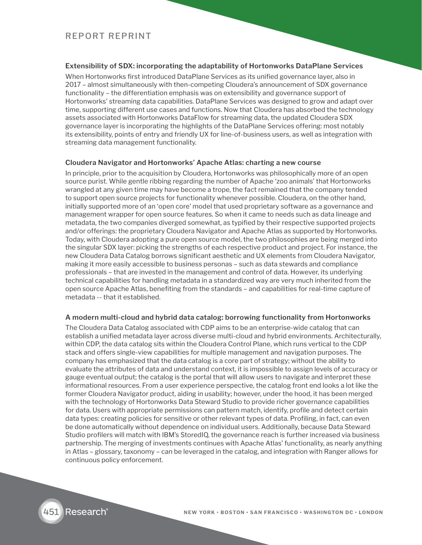#### **Extensibility of SDX: incorporating the adaptability of Hortonworks DataPlane Services**

When Hortonworks first introduced DataPlane Services as its unified governance layer, also in 2017 – almost simultaneously with then-competing Cloudera's announcement of SDX governance functionality – the differentiation emphasis was on extensibility and governance support of Hortonworks' streaming data capabilities. DataPlane Services was designed to grow and adapt over time, supporting different use cases and functions. Now that Cloudera has absorbed the technology assets associated with Hortonworks DataFlow for streaming data, the updated Cloudera SDX governance layer is incorporating the highlights of the DataPlane Services offering: most notably its extensibility, points of entry and friendly UX for line-of-business users, as well as integration with streaming data management functionality.

#### **Cloudera Navigator and Hortonworks' Apache Atlas: charting a new course**

In principle, prior to the acquisition by Cloudera, Hortonworks was philosophically more of an open source purist. While gentle ribbing regarding the number of Apache 'zoo animals' that Hortonworks wrangled at any given time may have become a trope, the fact remained that the company tended to support open source projects for functionality whenever possible. Cloudera, on the other hand, initially supported more of an 'open core' model that used proprietary software as a governance and management wrapper for open source features. So when it came to needs such as data lineage and metadata, the two companies diverged somewhat, as typified by their respective supported projects and/or offerings: the proprietary Cloudera Navigator and Apache Atlas as supported by Hortonworks. Today, with Cloudera adopting a pure open source model, the two philosophies are being merged into the singular SDX layer: picking the strengths of each respective product and project. For instance, the new Cloudera Data Catalog borrows significant aesthetic and UX elements from Cloudera Navigator, making it more easily accessible to business personas – such as data stewards and compliance professionals – that are invested in the management and control of data. However, its underlying technical capabilities for handling metadata in a standardized way are very much inherited from the open source Apache Atlas, benefiting from the standards – and capabilities for real-time capture of metadata -- that it established.

#### **A modern multi-cloud and hybrid data catalog: borrowing functionality from Hortonworks**

The Cloudera Data Catalog associated with CDP aims to be an enterprise-wide catalog that can establish a unified metadata layer across diverse multi-cloud and hybrid environments. Architecturally, within CDP, the data catalog sits within the Cloudera Control Plane, which runs vertical to the CDP stack and offers single-view capabilities for multiple management and navigation purposes. The company has emphasized that the data catalog is a core part of strategy; without the ability to evaluate the attributes of data and understand context, it is impossible to assign levels of accuracy or gauge eventual output; the catalog is the portal that will allow users to navigate and interpret these informational resources. From a user experience perspective, the catalog front end looks a lot like the former Cloudera Navigator product, aiding in usability; however, under the hood, it has been merged with the technology of Hortonworks Data Steward Studio to provide richer governance capabilities for data. Users with appropriate permissions can pattern match, identify, profile and detect certain data types: creating policies for sensitive or other relevant types of data. Profiling, in fact, can even be done automatically without dependence on individual users. Additionally, because Data Steward Studio profilers will match with IBM's StoredIQ, the governance reach is further increased via business partnership. The merging of investments continues with Apache Atlas' functionality, as nearly anything in Atlas – glossary, taxonomy – can be leveraged in the catalog, and integration with Ranger allows for continuous policy enforcement.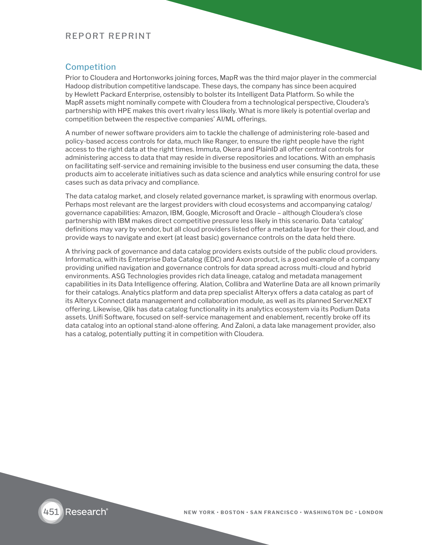## Competition

Prior to Cloudera and Hortonworks joining forces, MapR was the third major player in the commercial Hadoop distribution competitive landscape. These days, the company has since been acquired by Hewlett Packard Enterprise, ostensibly to bolster its Intelligent Data Platform. So while the MapR assets might nominally compete with Cloudera from a technological perspective, Cloudera's partnership with HPE makes this overt rivalry less likely. What is more likely is potential overlap and competition between the respective companies' AI/ML offerings.

A number of newer software providers aim to tackle the challenge of administering role-based and policy-based access controls for data, much like Ranger, to ensure the right people have the right access to the right data at the right times. Immuta, Okera and PlainID all offer central controls for administering access to data that may reside in diverse repositories and locations. With an emphasis on facilitating self-service and remaining invisible to the business end user consuming the data, these products aim to accelerate initiatives such as data science and analytics while ensuring control for use cases such as data privacy and compliance.

The data catalog market, and closely related governance market, is sprawling with enormous overlap. Perhaps most relevant are the largest providers with cloud ecosystems and accompanying catalog/ governance capabilities: Amazon, IBM, Google, Microsoft and Oracle – although Cloudera's close partnership with IBM makes direct competitive pressure less likely in this scenario. Data 'catalog' definitions may vary by vendor, but all cloud providers listed offer a metadata layer for their cloud, and provide ways to navigate and exert (at least basic) governance controls on the data held there.

A thriving pack of governance and data catalog providers exists outside of the public cloud providers. Informatica, with its Enterprise Data Catalog (EDC) and Axon product, is a good example of a company providing unified navigation and governance controls for data spread across multi-cloud and hybrid environments. ASG Technologies provides rich data lineage, catalog and metadata management capabilities in its Data Intelligence offering. Alation, Collibra and Waterline Data are all known primarily for their catalogs. Analytics platform and data prep specialist Alteryx offers a data catalog as part of its Alteryx Connect data management and collaboration module, as well as its planned Server.NEXT offering. Likewise, Qlik has data catalog functionality in its analytics ecosystem via its Podium Data assets. Unifi Software, focused on self-service management and enablement, recently broke off its data catalog into an optional stand-alone offering. And Zaloni, a data lake management provider, also has a catalog, potentially putting it in competition with Cloudera.